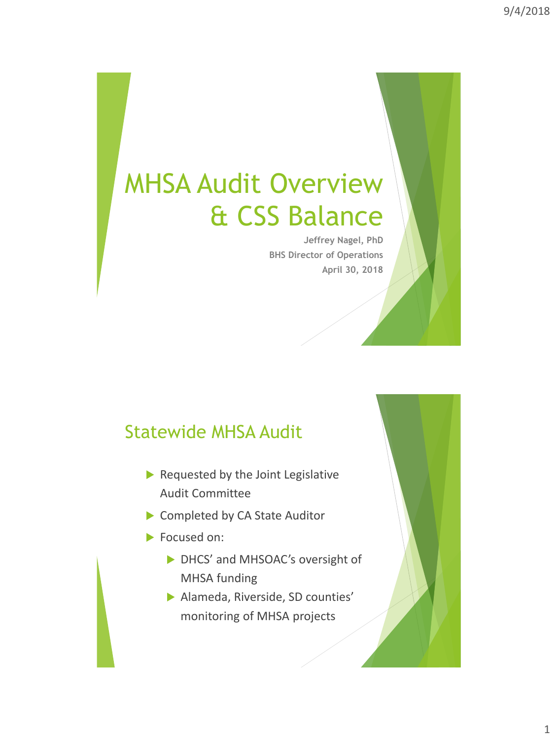# MHSA Audit Overview & CSS Balance

**Jeffrey Nagel, PhD BHS Director of Operations April 30, 2018**

#### Statewide MHSA Audit

- $\blacktriangleright$  Requested by the Joint Legislative Audit Committee
- ▶ Completed by CA State Auditor
- Focused on:
	- DHCS' and MHSOAC's oversight of MHSA funding
	- Alameda, Riverside, SD counties' monitoring of MHSA projects

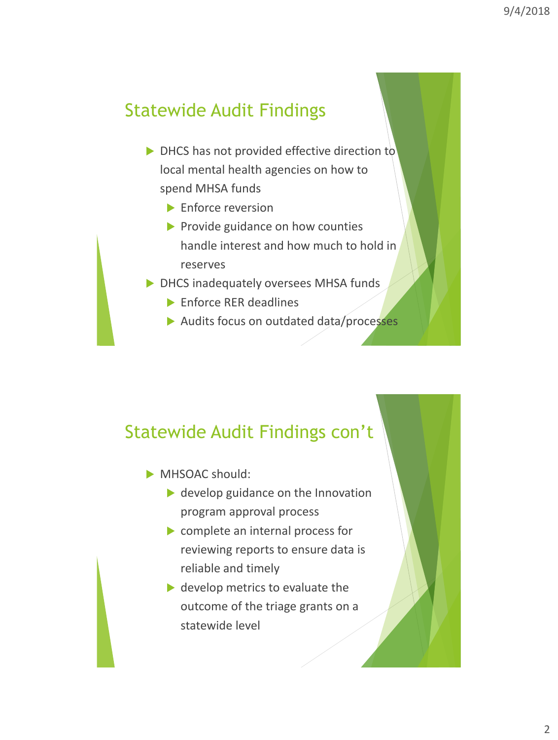### Statewide Audit Findings

- ▶ DHCS has not provided effective direction to local mental health agencies on how to spend MHSA funds
	- Enforce reversion
	- $\blacktriangleright$  Provide guidance on how counties handle interest and how much to hold in reserves
- DHCS inadequately oversees MHSA funds
	- ▶ Enforce RER deadlines
	- Audits focus on outdated data/processes

#### Statewide Audit Findings con't

- MHSOAC should:
	- ▶ develop guidance on the Innovation program approval process
	- complete an internal process for reviewing reports to ensure data is reliable and timely
	- ▶ develop metrics to evaluate the outcome of the triage grants on a statewide level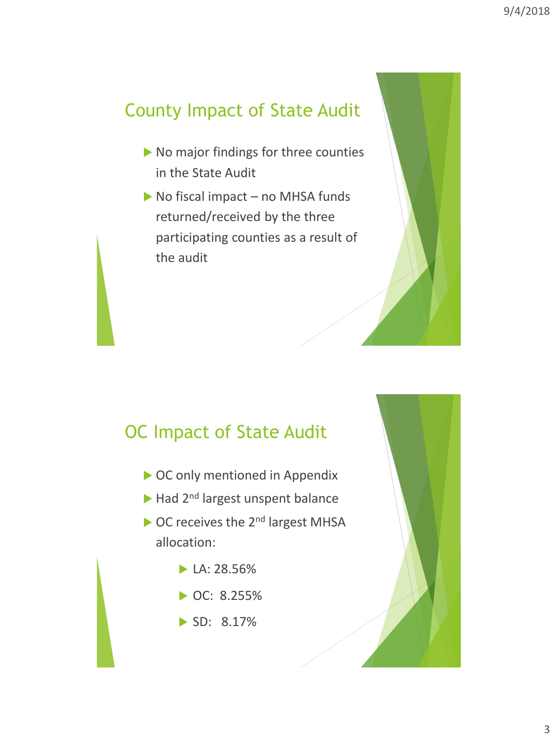## County Impact of State Audit

- No major findings for three counties in the State Audit
- $\triangleright$  No fiscal impact no MHSA funds returned/received by the three participating counties as a result of the audit

# OC Impact of State Audit

- OC only mentioned in Appendix
- Had 2<sup>nd</sup> largest unspent balance
- OC receives the 2<sup>nd</sup> largest MHSA allocation:
	- $\blacktriangleright$  LA: 28.56%
	- ▶ OC: 8.255%
	- SD: 8.17%

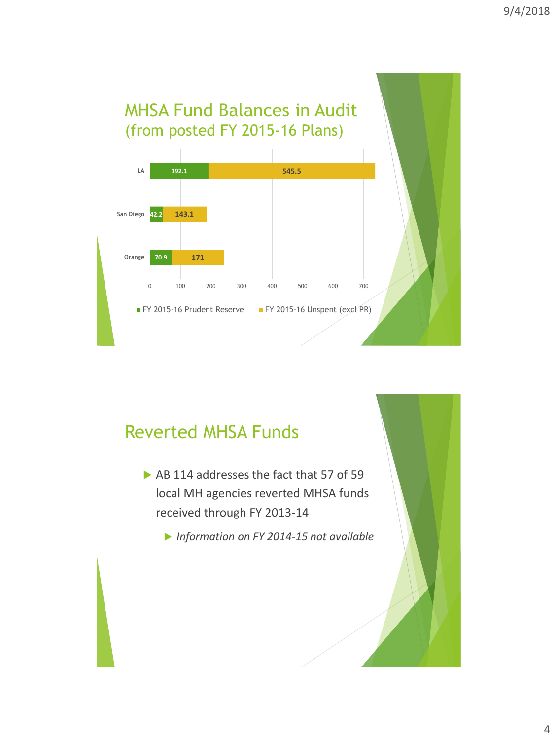

#### Reverted MHSA Funds

- AB 114 addresses the fact that 57 of 59 local MH agencies reverted MHSA funds received through FY 2013-14
	- *Information on FY 2014-15 not available*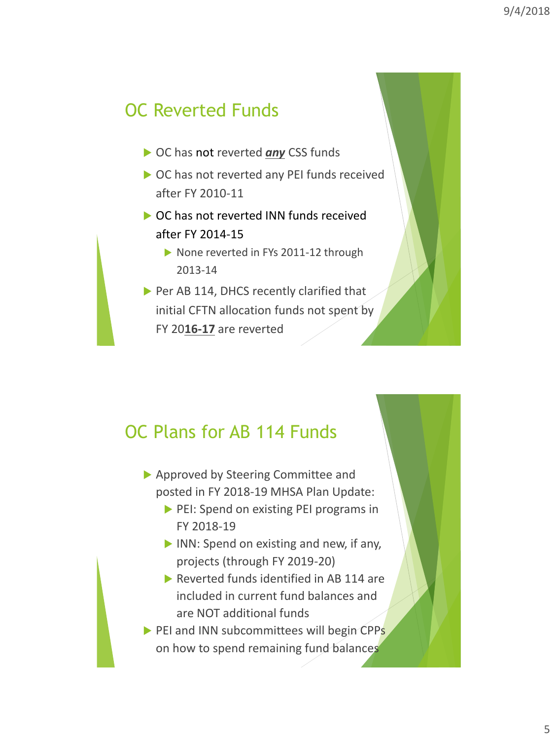## OC Reverted Funds

- ▶ OC has not reverted **any** CSS funds
- ▶ OC has not reverted any PEI funds received after FY 2010-11
- ▶ OC has not reverted INN funds received after FY 2014-15
	- None reverted in FYs 2011-12 through 2013-14
- $\triangleright$  Per AB 114, DHCS recently clarified that initial CFTN allocation funds not spent by FY 20**16-17** are reverted

#### OC Plans for AB 114 Funds

- ▶ Approved by Steering Committee and posted in FY 2018-19 MHSA Plan Update:
	- PEI: Spend on existing PEI programs in FY 2018-19
	- INN: Spend on existing and new, if any, projects (through FY 2019-20)
	- Reverted funds identified in AB 114 are included in current fund balances and are NOT additional funds
- $\triangleright$  PEI and INN subcommittees will begin CPPs on how to spend remaining fund balances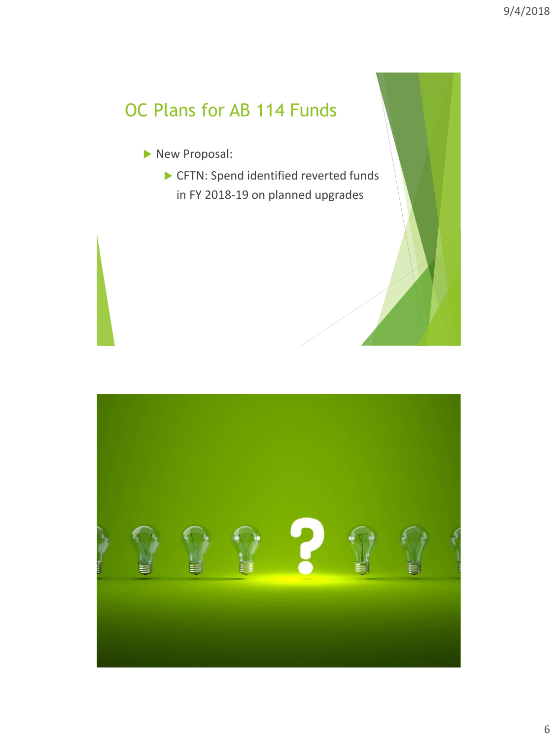# OC Plans for AB 114 Funds

- New Proposal:
	- ▶ CFTN: Spend identified reverted funds in FY 2018-19 on planned upgrades

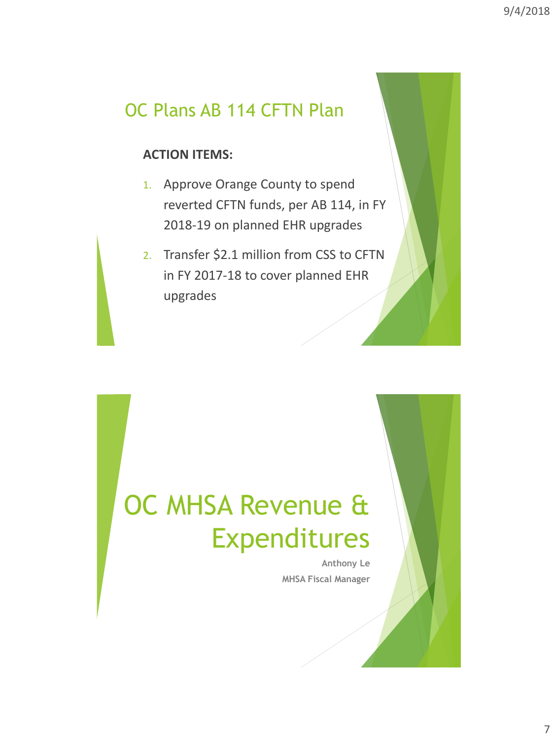#### OC Plans AB 114 CFTN Plan

#### **ACTION ITEMS:**

- 1. Approve Orange County to spend reverted CFTN funds, per AB 114, in FY 2018-19 on planned EHR upgrades
- 2. Transfer \$2.1 million from CSS to CFTN in FY 2017-18 to cover planned EHR upgrades

# OC MHSA Revenue & Expenditures

**Anthony Le MHSA Fiscal Manager**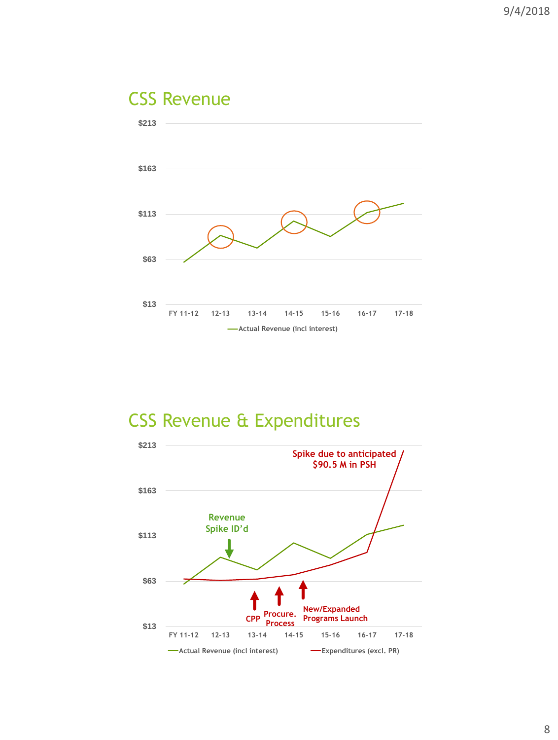# CSS Revenue



### CSS Revenue & Expenditures

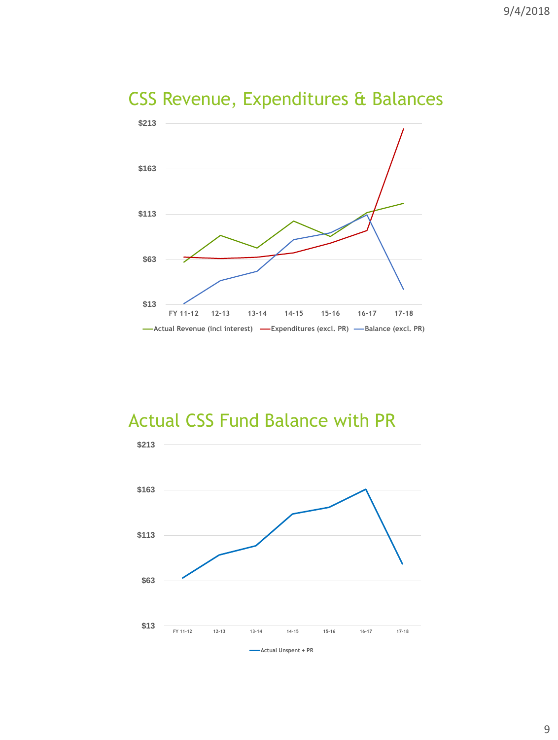

# CSS Revenue, Expenditures & Balances

#### Actual CSS Fund Balance with PR